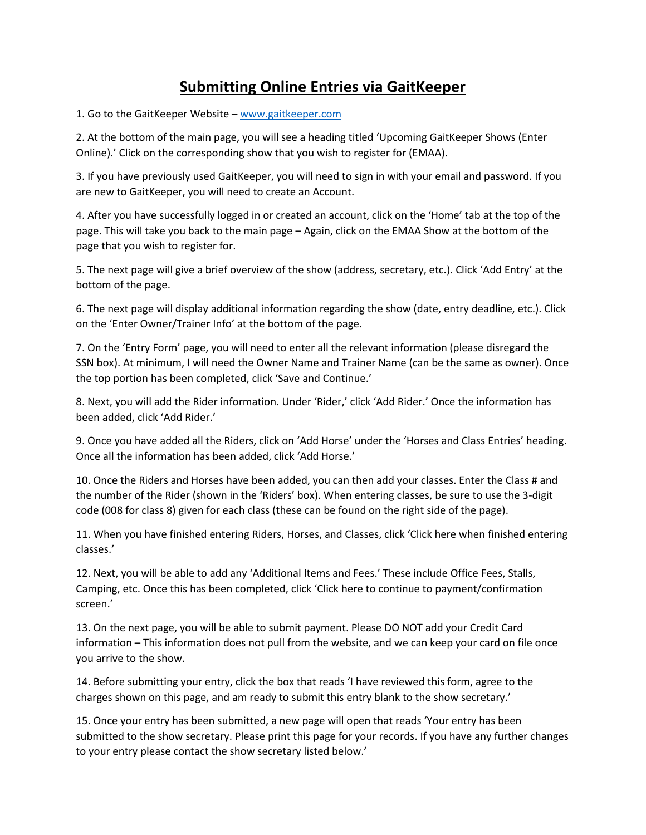## **Submitting Online Entries via GaitKeeper**

1. Go to the GaitKeeper Website – [www.gaitkeeper.com](http://www.gaitkeeper.com/)

2. At the bottom of the main page, you will see a heading titled 'Upcoming GaitKeeper Shows (Enter Online).' Click on the corresponding show that you wish to register for (EMAA).

3. If you have previously used GaitKeeper, you will need to sign in with your email and password. If you are new to GaitKeeper, you will need to create an Account.

4. After you have successfully logged in or created an account, click on the 'Home' tab at the top of the page. This will take you back to the main page – Again, click on the EMAA Show at the bottom of the page that you wish to register for.

5. The next page will give a brief overview of the show (address, secretary, etc.). Click 'Add Entry' at the bottom of the page.

6. The next page will display additional information regarding the show (date, entry deadline, etc.). Click on the 'Enter Owner/Trainer Info' at the bottom of the page.

7. On the 'Entry Form' page, you will need to enter all the relevant information (please disregard the SSN box). At minimum, I will need the Owner Name and Trainer Name (can be the same as owner). Once the top portion has been completed, click 'Save and Continue.'

8. Next, you will add the Rider information. Under 'Rider,' click 'Add Rider.' Once the information has been added, click 'Add Rider.'

9. Once you have added all the Riders, click on 'Add Horse' under the 'Horses and Class Entries' heading. Once all the information has been added, click 'Add Horse.'

10. Once the Riders and Horses have been added, you can then add your classes. Enter the Class # and the number of the Rider (shown in the 'Riders' box). When entering classes, be sure to use the 3-digit code (008 for class 8) given for each class (these can be found on the right side of the page).

11. When you have finished entering Riders, Horses, and Classes, click 'Click here when finished entering classes.'

12. Next, you will be able to add any 'Additional Items and Fees.' These include Office Fees, Stalls, Camping, etc. Once this has been completed, click 'Click here to continue to payment/confirmation screen.'

13. On the next page, you will be able to submit payment. Please DO NOT add your Credit Card information – This information does not pull from the website, and we can keep your card on file once you arrive to the show.

14. Before submitting your entry, click the box that reads 'I have reviewed this form, agree to the charges shown on this page, and am ready to submit this entry blank to the show secretary.'

15. Once your entry has been submitted, a new page will open that reads 'Your entry has been submitted to the show secretary. Please print this page for your records. If you have any further changes to your entry please contact the show secretary listed below.'